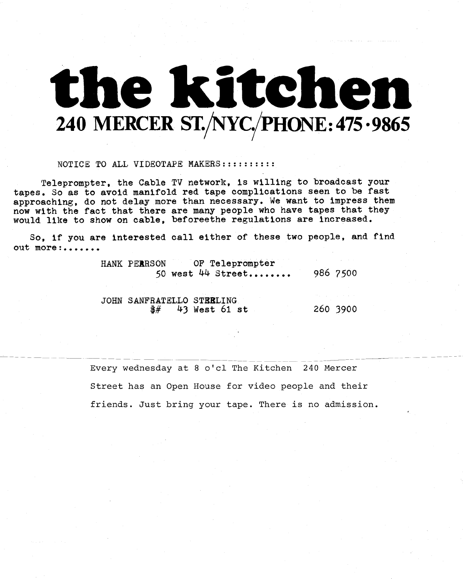# the kitchen 240 MERCER ST./NYC./PHONE: 475 .9865

#### NOTICE TO ALL VIDEOTAPE MAKERS:::::::::

Teleprompter, the Cable TV network, is willing to broadcast your tapes. So as to avoid manifold red tape complications seen to be fast approaching, do not delay more than necessary. We want to impress them now with the fact that there are many people who have tapes that they would like to show on cable, beforeethe regulations are increased .

So, if you are interested call either of these two people, and find out more :.......

|                           | HANK PERRSON OF Teleprompter<br>50 west $44$ Street | 986 7500 |
|---------------------------|-----------------------------------------------------|----------|
| JOHN SANFRATELLO STEELING |                                                     |          |
|                           | $\frac{4}{3}$ 43 West 61 st                         | 260 3900 |

Every wednesday at <sup>8</sup> o'cl The Kitchen 240 Mercer Street has an Open House for video people and their friends. Just bring your tape. There is no admission.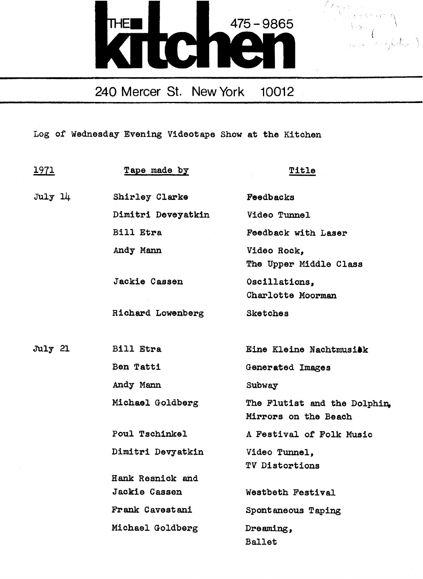



Log of Wednesday Evening Videotape Show at the Kitchen

| <u> 1971 </u> | Tape made by         | Title                                                |
|---------------|----------------------|------------------------------------------------------|
| $Ju1y$ $14$   | Shirley Clarke       | Feedbacks                                            |
|               | Dimitri Deveyatkin   | Video Tunnel                                         |
|               | Bill Etra            | Feedback with Laser                                  |
|               | Andy Mann            | Video Rock,<br>The Upper Middle Class                |
|               | Jackie Cassen        | Oscillations,<br>Charlotte Moorman                   |
|               | Richard Lowenberg    | <b>Sketches</b>                                      |
| July 21       | <b>Bill Etra</b>     | Eine Kleine Nachtmusikk                              |
|               | Ben Tatti            | Generated Images                                     |
|               | Andy Mann            | Subway                                               |
|               | Michael Goldberg     | The Flutist and the Dolphin,<br>Mirrors on the Beach |
|               | Poul Tschinkel       | A Festival of Folk Music                             |
|               | Dimitri Devyatkin    | Video Tunnel,<br>TV Distortions                      |
|               | Hank Resnick and     |                                                      |
|               | <b>Jackie Cassen</b> | Westbeth Festival                                    |
|               | Frank Cavestani      | Spontaneous Taping                                   |
|               | Michael Goldberg     | Dreaming,                                            |
|               |                      | <b>Ballet</b>                                        |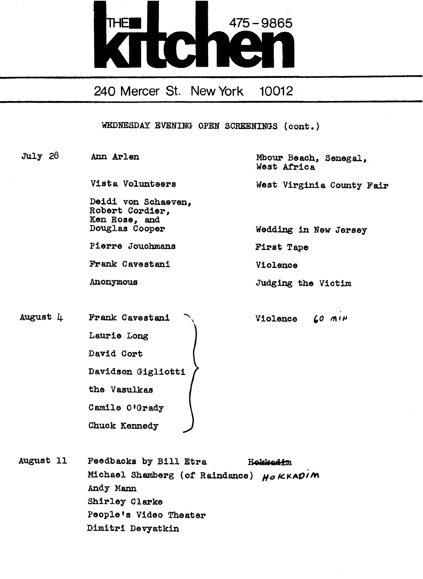

WEDNESDAY EVENING OPEN SCREENINGS (cone .)

Deidi von Schaeven, Robert Cordier, Ken Rose, and<br>Douglas Cooper

Pierre Jouchmans First Tape

Frank Cavestani Violence

August Frank Cavestani Laurie Long David Cort Davidson Gigliotti the Vasulkas Camile O'Grady Chuck Kennedy

July 28 Ann Arlen Mbour Beach, Senegal, West Africa

Vista Volunteers West Virginia County Fair

Wedding in New Jersey

Anonymous Judging the Victim

Violence  $60$  MIN

August 11 Feedbacks by Bill Etra Holdradin Michael Shamberg (of Raindance)  $H_0$  KKADIM Andy Mann Shirley Clarke People's Video Theater Dimitri Devyatkin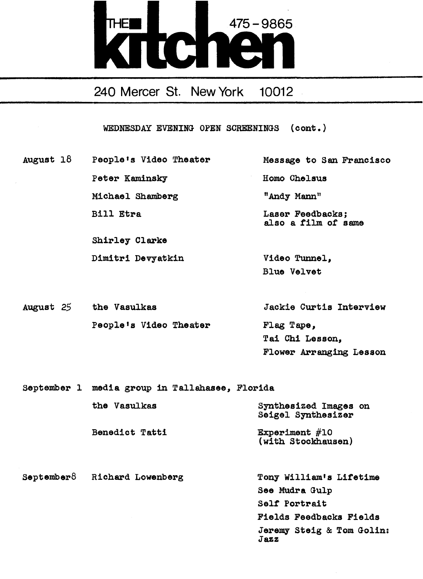

WEDNESDAY EVENING OPEN SCREENINGS (cont.)

August 18 People's Video Theater Message to San Francisco Peter Kaminsky Homo Chelsus Michael Shamberg "Andy Mann" Bill Etra **Laser Feedbacks**;

Shirley Clarke

also a film of same

Dimitri Devyatkin Video Tunnel, Blue Velvet

August 25 the Vasulkas Jackie Curtis Interview People's Video Theater Flag Tape, Tai Chi Lesson, Flower Arranging Lesson

September 1 media group in Tallahasee, Florida the Vasulkas Synthesized Images on Seigel Synthesizer Benedict Tatti Experiment #10 (with Stockhausen) September8 Richard Lowenberg Tony William's Lifetime See Mudra Gulp Self Portrait Fields Feedbacks Fields Jeremy Steig & Tom Golin: Jazz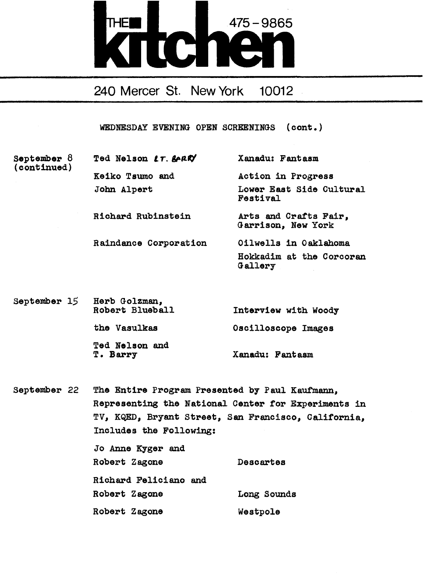

WEDNESDAY EVENING OPEN SCREENINGS (cont .)

(continued)

September 8 Ted Nelson  $LT$ .  $\&$  ARK $\forall$  Xanadu: Fantasm Keiko Tsumo and Action in Progress

> John Alpert Lower East Side Cultural Festival

Richard Rubinstein Arts and Crafts Fair, Garrison, New York

- Raindance Corporation Oilwells in Oaklahoma Hokkadim at the Corcoran Gallery
- September 15 Herb Golzman,<br>Robert Blueball Interview with Woody the Vasulkas Oscilloscope Images Ted Nelson and<br>T. Barry Xanadu: Fantasm

September 22 The Entire Program Presented by Paul Kaufmann, Representing the National Center for Experiments in TV, KQED, Bryant Street, San Francisco, California, Includes the Following: Jo Anne Kyger and

| Robert Zagone         | Descartes   |
|-----------------------|-------------|
| Richard Feliciano and |             |
| Robert Zagone         | Long Sounds |
| Robert Zagone         | Westpole    |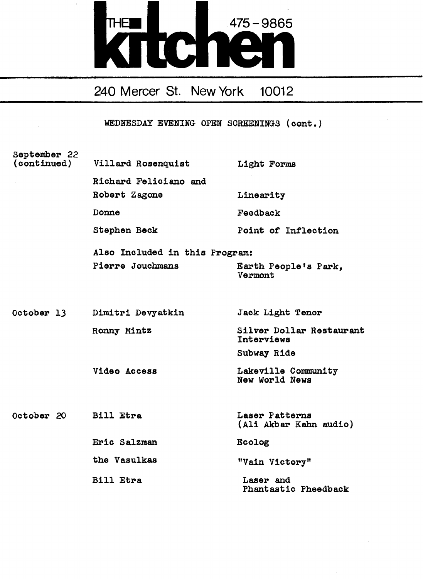# THE **EN 1475 - 9865**

240 Mercer St. New York 10012

| September 22<br>(continued) | Villard Rosenquist             | Light Forms                              |
|-----------------------------|--------------------------------|------------------------------------------|
|                             | Richard Feliciano and          |                                          |
|                             | Robert Zagone                  | Linearity                                |
|                             | <b>Donne</b>                   | Feedback                                 |
|                             | Stephen Beck                   | Point of Inflection                      |
|                             | Also Included in this Program: |                                          |
|                             | Pierre Jouchmans               | Earth People's Park,<br>Vermont          |
|                             |                                |                                          |
|                             | October 13 Dimitri Devyatkin   | Jack Light Tenor                         |
|                             | Ronny Mintz                    | Silver Dollar Restaurant<br>Interviews   |
|                             |                                | Subway Ride                              |
|                             | Video Access                   | Lakeville Community<br>New World News    |
|                             |                                |                                          |
| October 20 Bill Etra        |                                | Laser Patterns<br>(Ali Akbar Kahn audio) |
|                             | Eric Salzman                   | Ecolog                                   |
|                             | the Vasulkas                   | "Vain Victory"                           |
|                             | <b>Bill Etra</b>               | Laser and<br>Phantastic Pheedback        |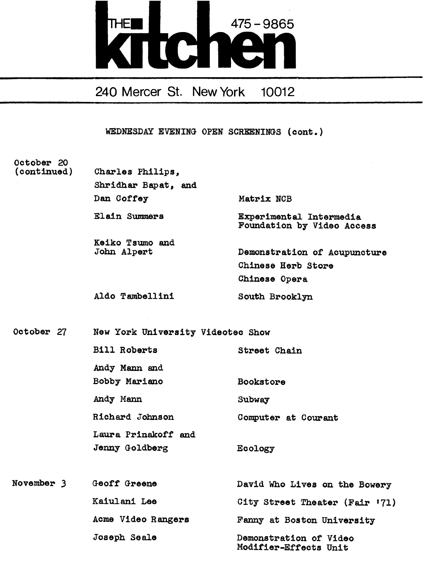

WEDNESDAY EVENING OPEN SCREENINGS (cone.)

### October 20 (continued)

| Charles Philips,               |                                                                     |
|--------------------------------|---------------------------------------------------------------------|
| Shridhar Bapat, and            |                                                                     |
| Dan Coffey                     | Matrix NCB                                                          |
| Elain Summers                  | Experimental Intermedia<br>Foundation by Video Access               |
| Keiko Tsumo and<br>John Alpert | Demonstration of Acupuncture<br>Chinese Herb Store<br>Chinese Opera |
| Aldo Tambellini                | South Brooklyn                                                      |

October 27 New York University Videotec Show

| <b>Bill Roberts</b> | Street Chain        |
|---------------------|---------------------|
| Andy Mann and       |                     |
| Bobby Mariano       | Bookstore           |
| Andy Mann           | Subway              |
| Richard Johnson     | Computer at Courant |
| Laura Prinakoff and |                     |
| Jenny Goldberg      | Ecology             |

| November 3 | Geoff Greene       | David Who Lives on the Bowery                   |
|------------|--------------------|-------------------------------------------------|
|            | Kaiulani Lee       | City Street Theater (Fair '71)                  |
|            | Acme Video Rangers | Fanny at Boston University                      |
|            | Joseph Seale       | Demonstration of Video<br>Modifier-Effects Unit |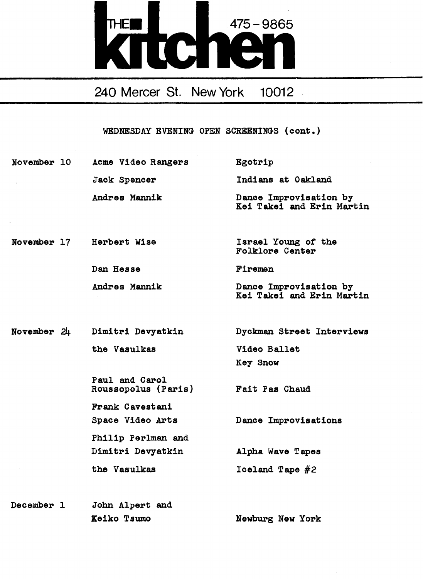

WEDNESDAY EVENING OPEN SCREENINGS (cont.)

| November 10 | Acme Video Rangers | Egotrip                                             |
|-------------|--------------------|-----------------------------------------------------|
|             | Jack Spencer       | Indians at Oakland                                  |
|             | Andres Mannik      | Dance Improvisation by<br>Kei Takei and Erin Martin |

- November 17 Herbert Wise Israel Young of the Folklore Center Dan Hesse Firemen
	- Andres Mannik Dance Improvisation by Kai Takei and Erin Martin

Key Snow

November 24 Dimitri Devyatkin Dyckman Street Interviews the Vasulkas Video Ballet

> Paul and Carol Roussopolus (Paris) Fait Pas Chaud Frank Cavestani Space Video Arts Dance Improvisations Philip Perlman and Dimitri Devyatkin Alpha Wave Tapes the Vasulkas  $I$ celand Tape  $#2$

December 1 John Alpert and Keiko Tsumo Newburg New York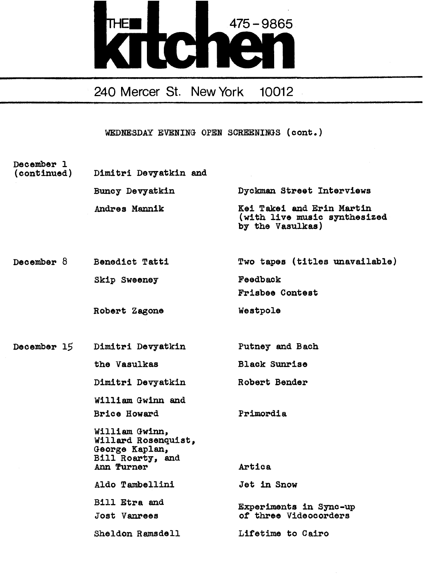

| December 1<br>(continued) | Dimitri Devyatkin and                                                                     |                                                                               |
|---------------------------|-------------------------------------------------------------------------------------------|-------------------------------------------------------------------------------|
|                           | Buncy Devyatkin                                                                           | Dyckman Street Interviews                                                     |
|                           | Andres Mannik                                                                             | Kei Takei and Erin Martin<br>(with live music synthesized<br>by the Vasulkas) |
| December $\delta$         | Benedict Tatti                                                                            | Two tapes (titles unavailable)                                                |
|                           | Skip Sweeney                                                                              | Feedback                                                                      |
|                           |                                                                                           | Frisbee Contest                                                               |
|                           | Robert Zagone                                                                             | Westpole                                                                      |
| December 15               | Dimitri Devyatkin                                                                         | Putney and Bach                                                               |
|                           | the Vasulkas                                                                              | <b>Black Sunrise</b>                                                          |
|                           | Dimitri Devyatkin                                                                         | Robert Bender                                                                 |
|                           | William Gwinn and                                                                         |                                                                               |
|                           | <b>Brice Howard</b>                                                                       | Primordia                                                                     |
|                           | William Gwinn,<br>Willard Rosenquist,<br>George Kaplan,<br>Bill Roarty, and<br>Ann Turner | Artica                                                                        |
|                           | Aldo Tambellini                                                                           | <b>Jet in Snow</b>                                                            |
|                           | Bill Etra and                                                                             |                                                                               |
|                           | Jost Vanrees                                                                              | Experiments in Sync-up<br>of three Videocorders                               |
|                           | Sheldon Ramsdell                                                                          | Lifetime to Cairo                                                             |
|                           |                                                                                           |                                                                               |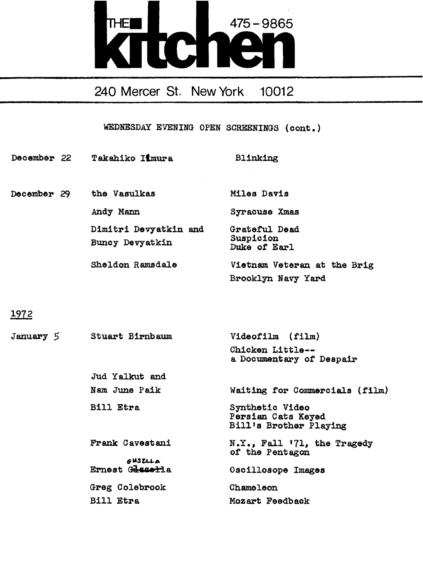

WEDNESDAY EVENING OPEN SCREENINGS (cont .)

| December 22 | Takahiko Iimura                          | Blinking                                          |
|-------------|------------------------------------------|---------------------------------------------------|
|             |                                          |                                                   |
| December 29 | the Vasulkas                             | Miles Davis                                       |
|             | Andy Mann                                | Syracuse Xmas                                     |
|             | Dimitri Devyatkin and<br>Buncy Devyatkin | Grateful Dead<br>Suspicion<br>Duke of Earl        |
|             | Sheldon Ramsdale                         | Vietnam Veteran at the Brig<br>Brooklyn Navy Yard |

1972

| January 5 | Stuart Birnbaum            | Videofilm (film)                                                |
|-----------|----------------------------|-----------------------------------------------------------------|
|           |                            | Chicken Little--<br>a Documentary of Despair                    |
|           | Jud Yalkut and             |                                                                 |
|           | Nam June Paik              | Waiting for Commercials (film)                                  |
|           | <b>Bill Etra</b>           | Synthetic Video<br>Persian Cats Keyed<br>Bill's Brother Playing |
|           | Frank Cavestani            | $N.Y.,$ Fall $171,$ the Tragedy<br>of the Pentagon              |
|           | GUSZLLA<br>Ernest Geszerla | Oscillosope Images                                              |
|           | Greg Colebrook             | Chameleon                                                       |
|           | Bill Etra                  | Mozart Feedback                                                 |
|           |                            |                                                                 |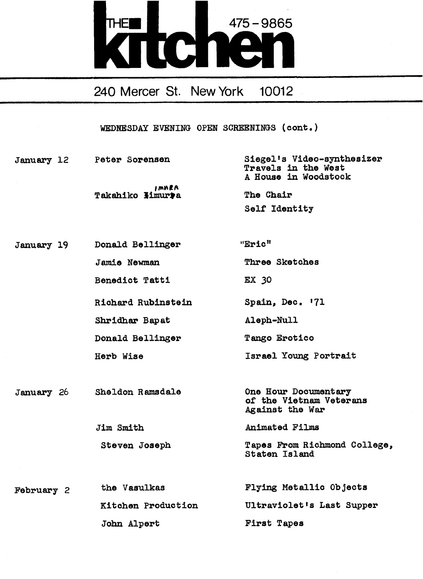

| January 12        | Peter Sorensen             | Siegel's Video-synthesizer<br>Travels in the West<br>A House in Woodstock |
|-------------------|----------------------------|---------------------------------------------------------------------------|
|                   | imhra.<br>Takahiko limurra | The Chair                                                                 |
|                   |                            | Self Identity                                                             |
|                   |                            |                                                                           |
| January 19        | Donald Bellinger           | "Eric"                                                                    |
|                   | <b>Jamie Newman</b>        | Three Sketches                                                            |
|                   | Benedict Tatti             | EX 30                                                                     |
|                   | Richard Rubinstein         | Spain, Dec. '71                                                           |
|                   | Shridhar Bapat             | Aleph-Null                                                                |
|                   | Donald Bellinger           | Tango Erotico                                                             |
|                   | Herb Wise                  | Israel Young Portrait                                                     |
|                   |                            |                                                                           |
| <b>January</b> 26 | Sheldon Ramsdale           | One Hour Documentary<br>of the Vietnam Veterans<br>Against the War        |
|                   | Jim Smith                  | Animated Films                                                            |
|                   | Steven Joseph              | Tapes From Richmond College,<br>Staten Island                             |
|                   |                            |                                                                           |
| February 2        | the Vasulkas               | Flying Metallic Objects                                                   |
|                   | Kitchen Production         | Ultraviolet's Last Supper                                                 |
|                   | John Alpert                | First Tapes                                                               |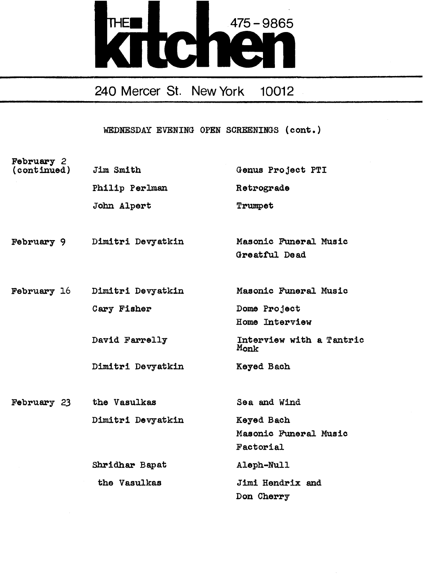

| February 2<br>(continued) | Jim Smith         | Genus Project PTI                                |
|---------------------------|-------------------|--------------------------------------------------|
|                           | Philip Perlman    | Retrograde                                       |
|                           | John Alpert       | Trumpet                                          |
| February 9                | Dimitri Devyatkin | Masonic Funeral Music<br>Greatful Dead           |
| <b>February 16</b>        | Dimitri Devyatkin | Masonic Funeral Music                            |
|                           | Cary Fisher       | Dome Project<br>Home Interview                   |
|                           | David Farrelly    | Interview with a Tantric<br>Monk                 |
|                           | Dimitri Devyatkin | Keyed Bach                                       |
| February 23               | the Vasulkas      | Sea and Wind                                     |
|                           | Dimitri Devyatkin | Keyed Bach<br>Masonic Funeral Music<br>Factorial |
|                           | Shridhar Bapat    | Aleph-Null                                       |
|                           | the Vasulkas      | Jimi Hendrix and<br>Don Cherry                   |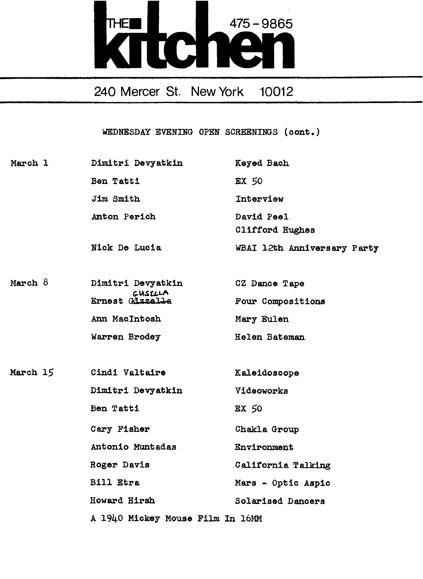

WEDNESDAY EVENING OPEN SCREENINGS (cont.)

March 1 Dimitri Devyatkin Keyed Bach Ben Tatti EX 50 Jim Smith Interview Anton Perich David Peel Clifford Hughes Nick De Lucia WBAI 12th Anniversary Party March  $8$ Dimitri Devyatkin CZ Dance Tape CUSLLA<br>Ernest Gizzella Four Compositions Ann MacIntosh Mary Eulen Warren Brodey Helen Bateman March 15 Cindi Valtaire Kaleidoscope Dimitri Devyatkin Videoworks Ben Tatti Ex 50 Cary Fisher Chakla Group Antonio Muntadas Environment Roger Davis California Talking Bill Etra Mars - Optic Aspic Howard Hirsh Solarised Dancers A 1940 Mickey Mouse Film In 16MM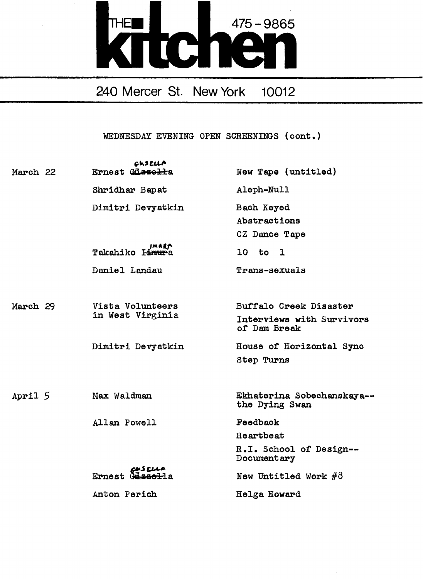

| March 22  | <b>GhSELLA</b><br>Ernest Glasselta    | New Tape (untitled)                                                 |
|-----------|---------------------------------------|---------------------------------------------------------------------|
|           | Shridhar Bapat                        | Aleph-Null                                                          |
|           | Dimitri Devyatkin                     | Bach Keyed<br>Abstractions<br>CZ Dance Tape                         |
|           | IMARA<br>Takahiko I <del>imur</del> a | $10$ to $1$                                                         |
|           | Daniel Landau                         | Trans-sexuals                                                       |
| March 29  | Vista Volunteers<br>in West Virginia  | Buffalo Creek Disaster<br>Interviews with Survivors<br>of Dam Break |
|           | Dimitri Devyatkin                     | House of Horizontal Sync<br>Step Turns                              |
| April $5$ | Max Waldman                           | Ekhaterina Sobechanskaya--<br>the Dying Swan                        |
|           | Allan Powell                          | Feedback                                                            |
|           |                                       | Heartbeat                                                           |
|           |                                       | R.I. School of Design --<br>Documentary                             |
|           | Ernest Cascus<br>Ernest Cassed-la     | New Untitled Work $#8$                                              |
|           | Anton Perich                          | Helga Howard                                                        |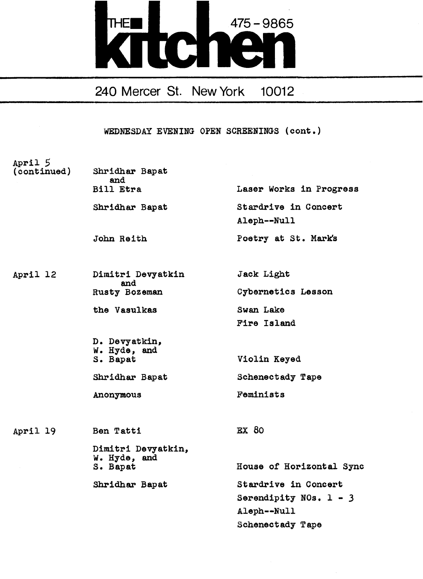

| April 5<br>(continued) | Shridhar Bapat<br>and<br>Bill Etra | Laser Works in Progress             |
|------------------------|------------------------------------|-------------------------------------|
|                        |                                    |                                     |
|                        | Shridhar Bapat                     | Stardrive in Concert<br>Aleph--Null |
|                        | John Reith                         | Poetry at St. Mark's                |
| April 12               | Dimitri Devyatkin                  | Jack Light                          |
|                        | and<br>Rusty Bozeman               | Cybernetics Lesson                  |
|                        | the Vasulkas                       | Swan Lake                           |
|                        |                                    | Fire Island                         |
|                        | D. Devyatkin,<br>W. Hyde, and      |                                     |
|                        | S. Bapat                           | Violin Keyed                        |
|                        | Shridhar Bapat                     | Schenectady Tape                    |
|                        | Anonymous                          | Feminists                           |
| April 19               | Ben Tatti                          | EX 80                               |
|                        | Dimitri Devyatkin,<br>W. Hyde, and |                                     |
|                        | S. Bapat                           | House of Horizontal Sync            |
|                        | Shridhar Bapat                     | Stardrive in Concert                |
|                        |                                    | Serendipity NOs. $1 - 3$            |
|                        |                                    | Aleph--Null                         |
|                        |                                    | Schenectady Tape                    |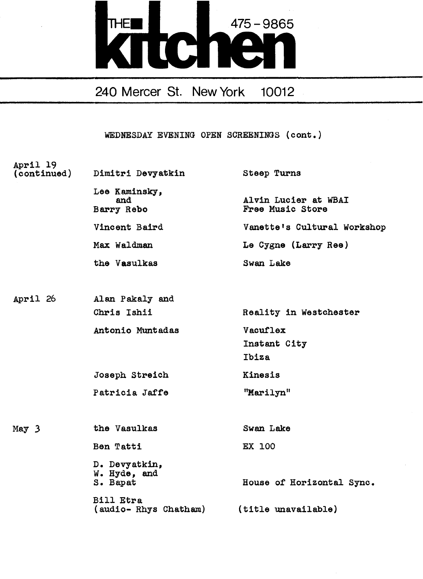

| April 19<br>(continued) | Dimitri Devyatkin                                            | Steep Turns                              |
|-------------------------|--------------------------------------------------------------|------------------------------------------|
|                         | Lee Kaminsky,<br>and<br>Barry Rebo                           | Alvin Lucier at WBAI<br>Free Music Store |
|                         | Vincent Baird                                                | Vanette's Cultural Workshop              |
|                         | Max Waldman                                                  | Le Cygne (Larry Ree)                     |
|                         | the Vasulkas                                                 | Swan Lake                                |
|                         |                                                              |                                          |
| April 26                | Alan Pakaly and                                              |                                          |
|                         | Chris Ishii                                                  | Reality in Westchester                   |
|                         | Antonio Muntadas                                             | Vacuflex                                 |
|                         |                                                              | Instant City                             |
|                         |                                                              | Ibiza                                    |
|                         | Joseph Streich                                               | Kinesis                                  |
|                         | Patricia Jaffe                                               | "Marilyn"                                |
|                         |                                                              |                                          |
| May $3$                 | the Vasulkas                                                 | Swan Lake                                |
|                         | Ben Tatti                                                    | EX 100                                   |
|                         | D. Devyatkin,<br>W. Hyde, and<br>S. Bapat                    | House of Horizontal Sync.                |
|                         | <b>Bill Etra</b><br>(audio-Rhys Chatham) (title unavailable) |                                          |
|                         |                                                              |                                          |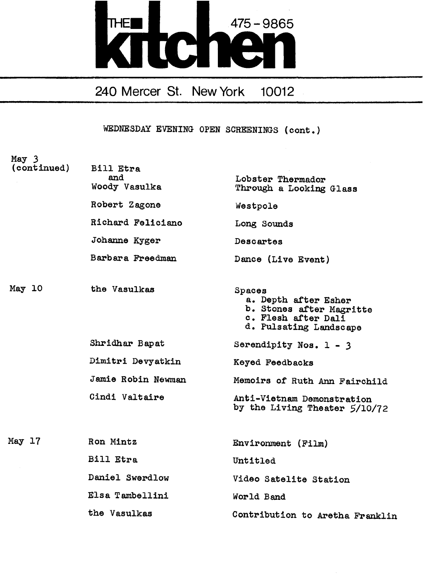

| May 3<br>(continued) | Bill Etra<br>and<br>Woody Vasulka | Lobster Thermador<br>Through a Looking Glass                                                                |
|----------------------|-----------------------------------|-------------------------------------------------------------------------------------------------------------|
|                      | Robert Zagone                     | Westpole                                                                                                    |
|                      | Richard Feliciano                 | Long Sounds                                                                                                 |
|                      | Johanne Kyger                     | Descartes                                                                                                   |
|                      | Barbara Freedman                  | Dance (Live Event)                                                                                          |
| May 10               | the Vasulkas                      | Spaces<br>a. Depth after Esher<br>b. Stones after Magritte<br>c. Flesh after Dali<br>d. Pulsating Landscape |
|                      | Shridhar Bapat                    | Serendipity Nos. $1 - 3$                                                                                    |
|                      | Dimitri Devyatkin                 | Keyed Feedbacks                                                                                             |
|                      | Jamie Robin Newman                | Memoirs of Ruth Ann Fairchild                                                                               |
|                      | Cindi Valtaire                    | Anti-Vietnam Demonstration<br>by the Living Theater 5/10/72                                                 |
| May 17               | Ron Mintz                         | Environment (Film)                                                                                          |
|                      | Bill Etra                         | Untitled                                                                                                    |
|                      | Daniel Swerdlow                   | Video Satelite Station                                                                                      |
|                      | Elsa Tambellini                   | World Band                                                                                                  |
|                      | the Vasulkas                      | Contribution to Aretha Franklin                                                                             |
|                      |                                   |                                                                                                             |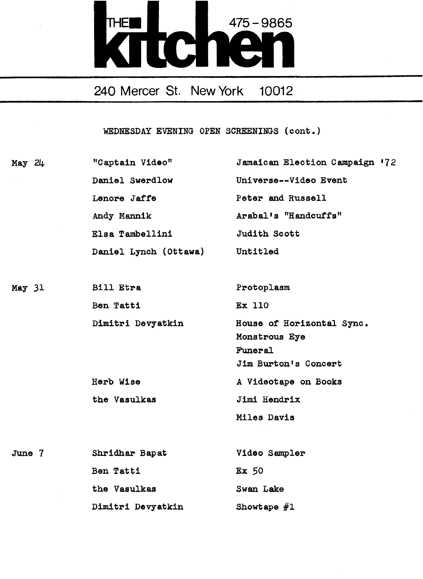

| May 24            | "Captain Video"       | Jamaican Election Campaign '72                                                |
|-------------------|-----------------------|-------------------------------------------------------------------------------|
| $\sim$            | Daniel Swerdlow       | Universe--Video Event                                                         |
|                   | Lenore Jaffe          | Peter and Russell                                                             |
|                   | Andy Mannik           | Arabal's "Handcuffs"                                                          |
|                   | Elsa Tambellini       | Judith Scott                                                                  |
|                   | Daniel Lynch (Ottawa) | Untitled                                                                      |
| May <sub>31</sub> | Bill Etra             | Protoplasm                                                                    |
|                   | Ben Tatti             | <b>Ex 110</b>                                                                 |
|                   | Dimitri Devyatkin     | House of Horizontal Sync.<br>Monstrous Eye<br>Funeral<br>Jim Burton's Concert |
|                   | Herb Wise             | A Videotape on Books                                                          |
|                   | the Vasulkas          | Jimi Hendrix                                                                  |
|                   |                       | Miles Davis                                                                   |
| June $7$          | Shridhar Bapat        | Video Sampler                                                                 |
|                   | Ben Tatti             | $Ex$ 50                                                                       |
|                   | the Vasulkas          | Swan Lake                                                                     |
|                   | Dimitri Devyatkin     | Showtape $#1$                                                                 |
|                   |                       |                                                                               |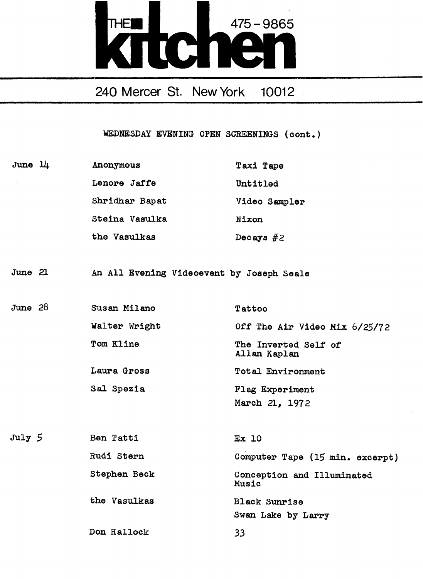

| June 11   | Anonymous                                 | Taxi Tape                            |
|-----------|-------------------------------------------|--------------------------------------|
|           | Lenore Jaffe                              | Untitled                             |
|           | Shridhar Bapat                            | Video Sampler                        |
|           | Steina Vasulka                            | Nixon                                |
|           | the Vasulkas                              | Decays $#2$                          |
|           |                                           |                                      |
| June 21   | An All Evening Videoevent by Joseph Seale |                                      |
|           |                                           |                                      |
| June $28$ | Susan Milano                              | Tattoo                               |
|           | Walter Wright                             | Off The Air Video Mix 6/25/72        |
|           | Tom Kline                                 | The Inverted Self of<br>Allan Kaplan |
|           | Laura Gross                               | Total Environment                    |
|           | Sal Spezia                                | Flag Experiment                      |
|           |                                           | March 21, 1972                       |
|           |                                           |                                      |
| July 5    | Ben Tatti                                 | Ex 10                                |
|           | Rudi Stern                                | Computer Tape (15 min. excerpt)      |
|           | Stephen Beck                              | Conception and Illuminated<br>Music  |
|           | the Vasulkas                              | <b>Black Sunrise</b>                 |
|           |                                           | Swan Lake by Larry                   |
|           | Don Hallock                               | 33                                   |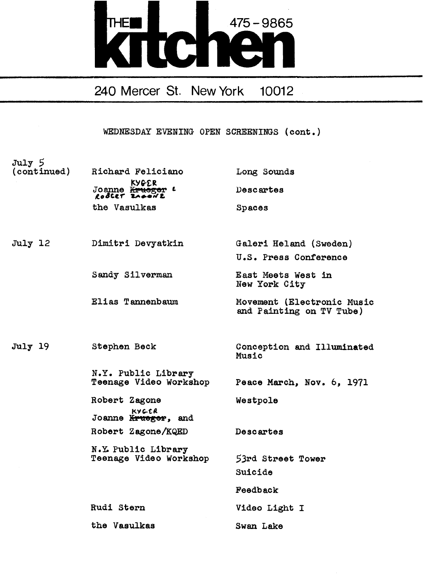

WEDNESDAY EVENING OPEN SCREENINGS (cont.)

July 5 (continued) Richard Feliciano Long Sounds KYCrER Joanne <del>Kruege</del>r <sup>L</sup> Descartes<br>*Le<sup>gt</sup>er Leewt* <u>Kruogoi</u><br>Zapea <mark>L</mark> the Vasulkas Spaces July 12 Dimitri Devyatkin Galeri Heland (Sweden) U .S . Press Conference Sandy Silverman East Meets West in New York City Elias T annenbaum Movement (Electronic Music and Painting on TV Tube) July 19 Stephen Beck Conception and Illuminated Music N.Y. Public Library<br>Teenage Video Workshop Peace March, Nov. 6, 1971 Robert Zagone Westpole KYGCR Joanne Krueger, and Robert Zagone/KQED Descartes N .Y. Public Library Teenage Video Workshop 53rd Street Tower Suicide Feedback Rudi Stern Video Light I the Vasulkas Swan Lake